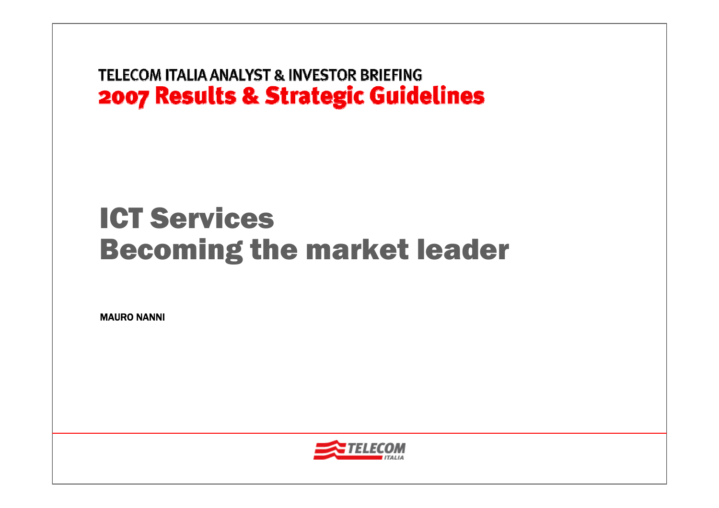# ICT ServicesBecoming the market leader

MAURO NANNI

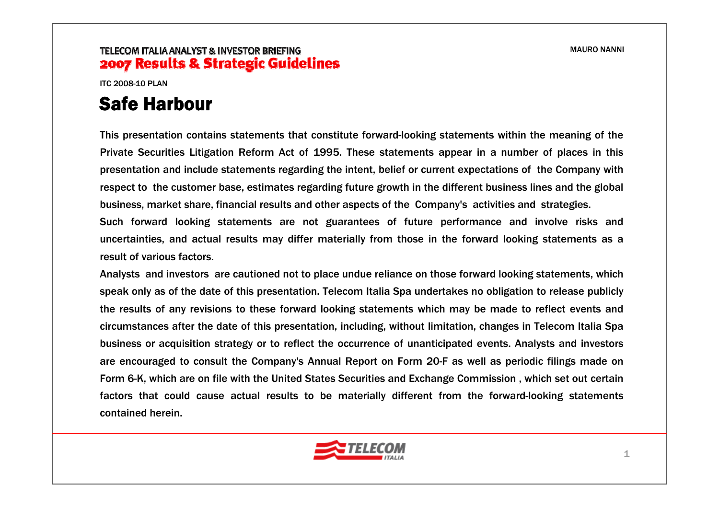ITC 2008-10 PLAN

# Safe Harbour

This presentation contains statements that constitute forward-looking statements within the meaning of the Private Securities Litigation Reform Act of 1995. These statements appear in a number of places in this presentation and include statements regarding the intent, belief or current expectations of the Company with respect to the customer base, estimates regarding future growth in the different business lines and the global business, market share, financial results and other aspects of the Company's activities and strategies.

Such forward looking statements are not guarantees of future performance and involve risks and uncertainties, and actual results may differ materially from those in the forward looking statements as a result of various factors.

Analysts and investors are cautioned not to place undue reliance on those forward looking statements, which speak only as of the date of this presentation. Telecom Italia Spa undertakes no obligation to release publicly the results of any revisions to these forward looking statements which may be made to reflect events and circumstances after the date of this presentation, including, without limitation, changes in Telecom Italia Spa business or acquisition strategy or to reflect the occurrence of unanticipated events. Analysts and investors are encouraged to consult the Company's Annual Report on Form 20-F as well as periodic filings made on Form 6-K, which are on file with the United States Securities and Exchange Commission , which set out certain factors that could cause actual results to be materially different from the forward-looking statements contained herein.

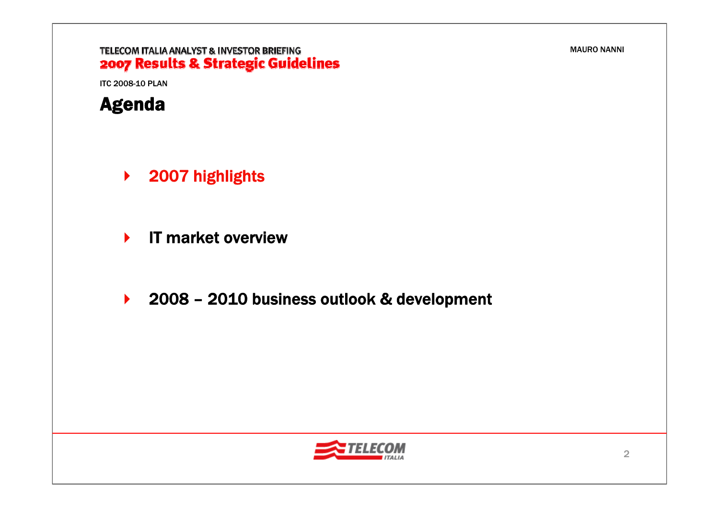### TELECOM ITALIA ANALYST & INVESTOR BRIEFING 2007 Results & Strategic Guidelines

ITC 2008-10 PLAN



- $\blacktriangleright$ 2007 highlights
- $\blacktriangleright$ IT market overview
- $\blacktriangleright$ 2008 – 2010 business outlook & development

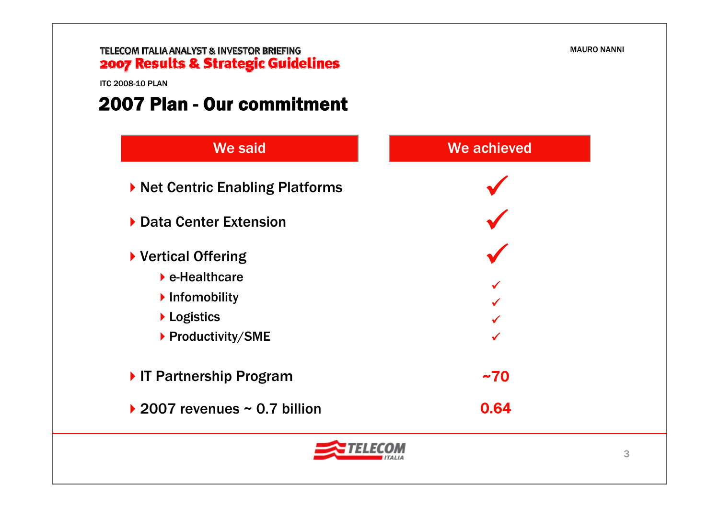

ITC 2008-10 PLAN

### 2007 Plan - Our commitment

| <b>We said</b>                                            | We achieved |  |
|-----------------------------------------------------------|-------------|--|
| ▶ Net Centric Enabling Platforms                          |             |  |
| Data Center Extension                                     |             |  |
| ▶ Vertical Offering<br>$\blacktriangleright$ e-Healthcare |             |  |
| Infomobility<br>Logistics                                 |             |  |
| ▶ Productivity/SME                                        |             |  |
| IT Partnership Program                                    | ~1          |  |
| ▶ 2007 revenues $\sim$ 0.7 billion                        | 0.64        |  |
| 3                                                         |             |  |

MAURO NANNI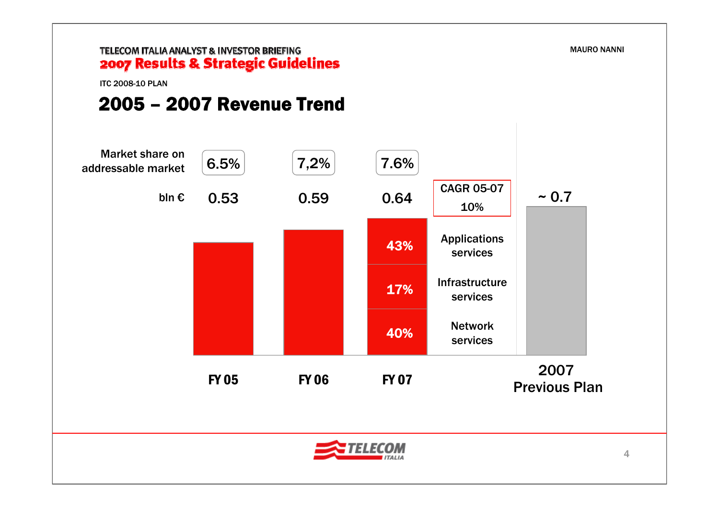### TELECOM ITALIA ANALYST & INVESTOR BRIEFING 2007 Results & Strategic Guidelines

ITC 2008-10 PLAN

# 2005 – 2007 Revenue Trend

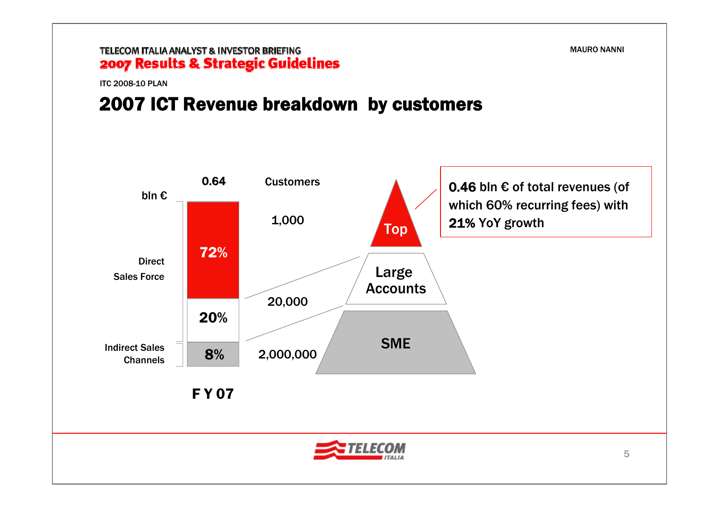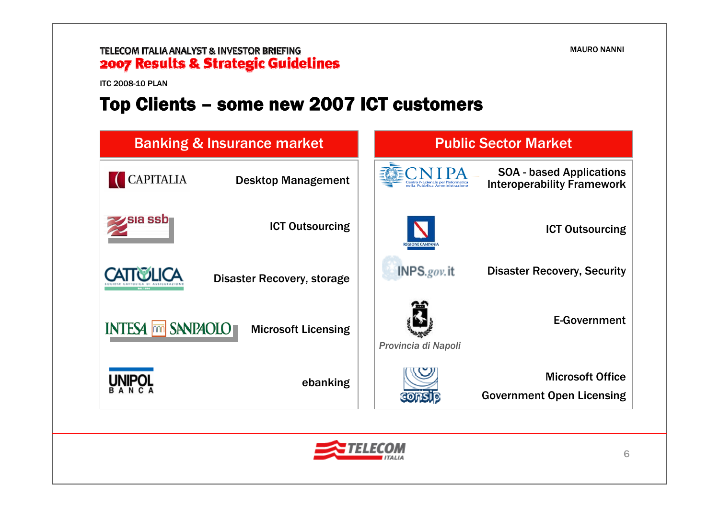### TELECOM ITALIA ANALYST & INVESTOR BRIEFING 2007 Results & Strategic Guidelines

ITC 2008-10 PLAN

# Top Clients – some new 2007 ICT customers



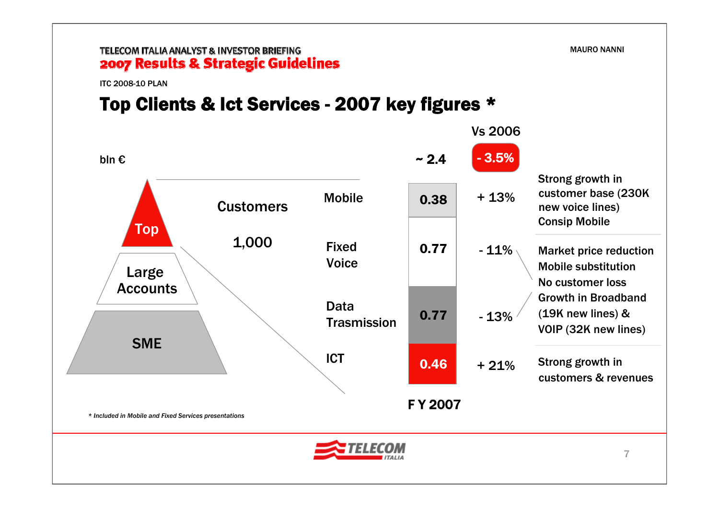#### TELECOM ITALIA ANALYST & INVESTOR BRIEFING 2007 Results & Strategic Guidelines

ITC 2008-10 PLAN

# Top Clients & Ict Services - 2007 key figures \*

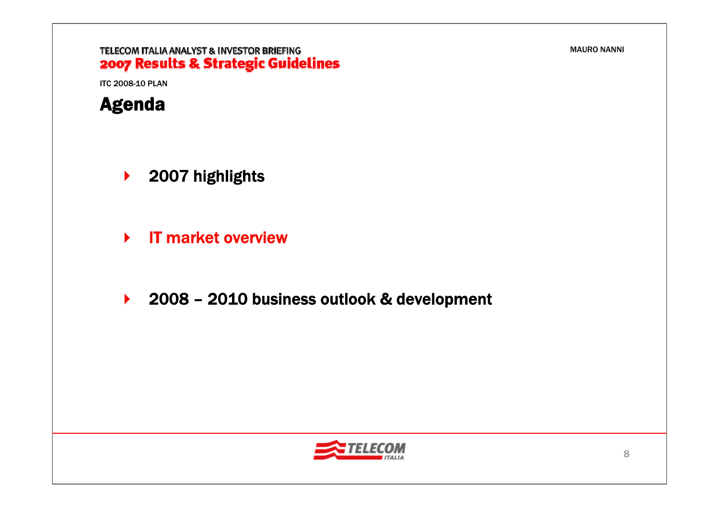### TELECOM ITALIA ANALYST & INVESTOR BRIEFING 2007 Results & Strategic Guidelines

ITC 2008-10 PLAN



- $\blacktriangleright$ 2007 highlights
- $\blacktriangleright$ IT market overview
- $\blacktriangleright$ 2008 – 2010 business outlook & development

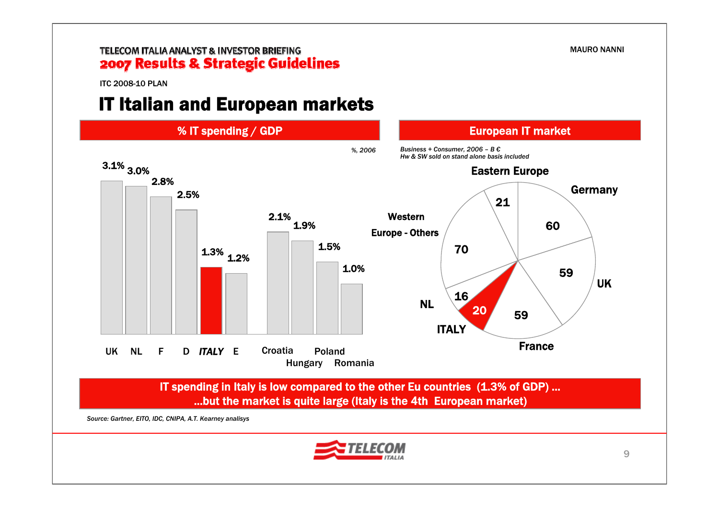ITC 2008-10 PLAN

# IT Italian and European markets

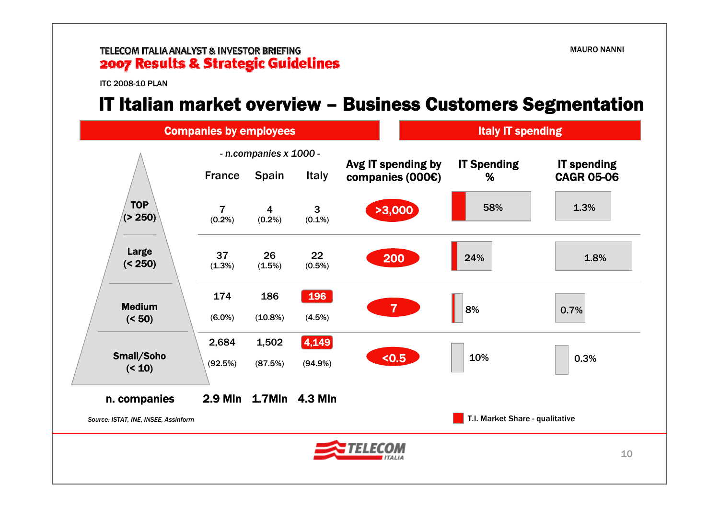ITC 2008-10 PLAN

### IT Italian market overview – Business Customers Segmentation

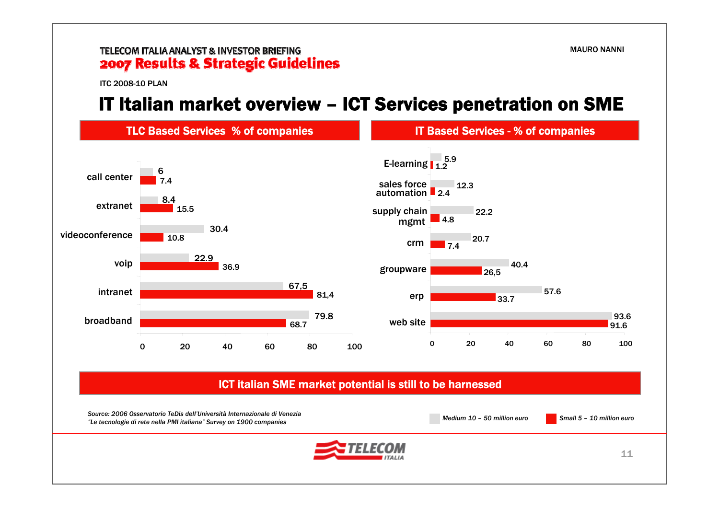ITC 2008-10 PLAN

# IT Italian market overview – ICT Services penetration on SME

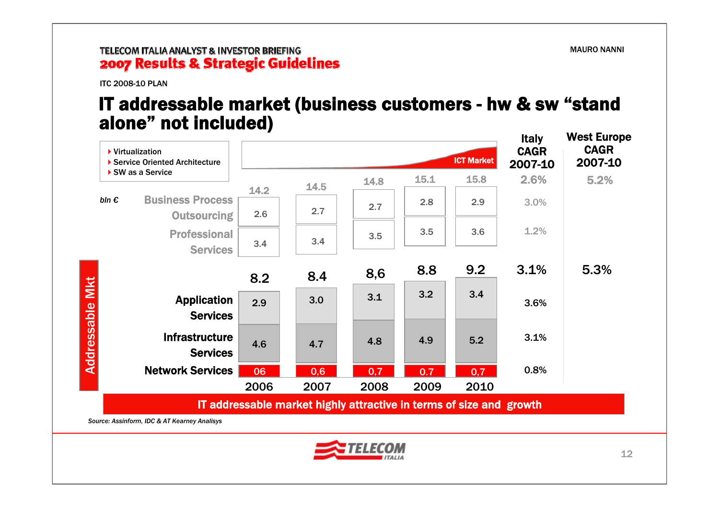ITC 2008-10 PLAN

### IT addressable market (business customers - hw & sw "stand alone" not included)



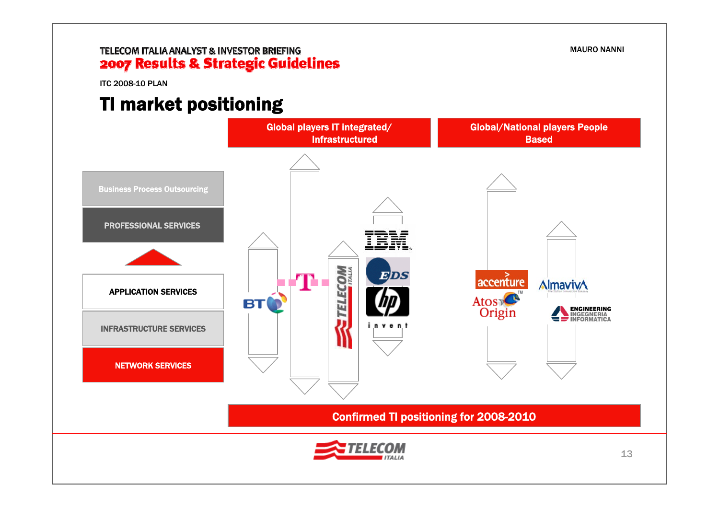ITC 2008-10 PLAN

# TI market positioning



MAURO NANNI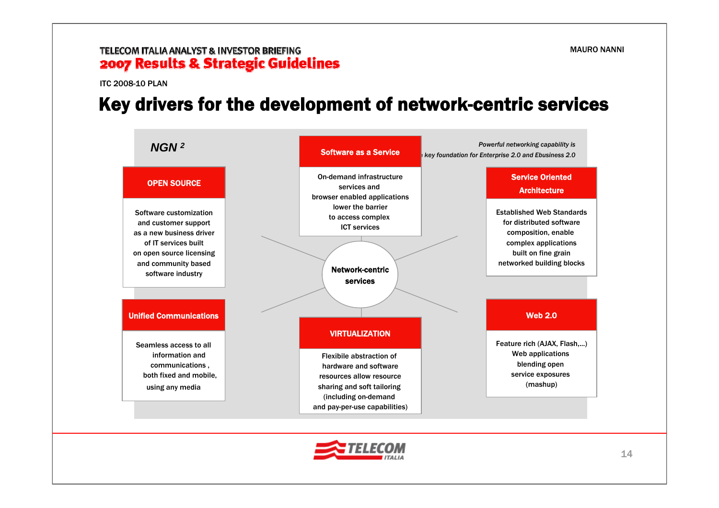ITC 2008-10 PLAN

### Key drivers for the development of network-centric services



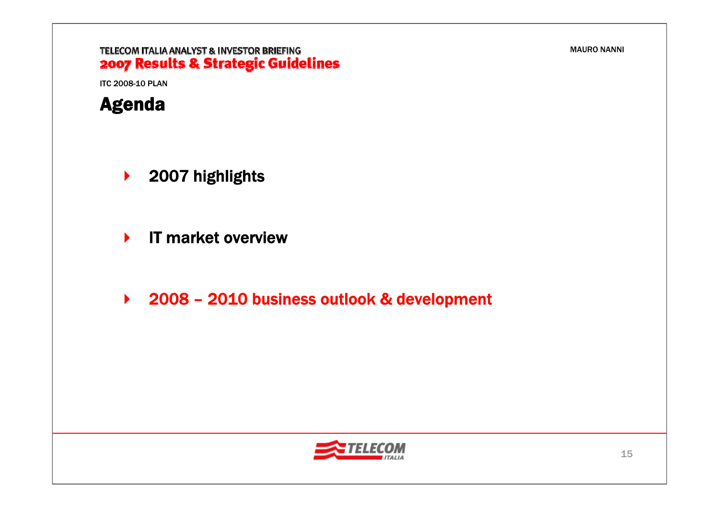### TELECOM ITALIA ANALYST & INVESTOR BRIEFING 2007 Results & Strategic Guidelines

ITC 2008-10 PLAN



- $\blacktriangleright$ 2007 highlights
- $\blacktriangleright$ IT market overview
- 2008 2010 business outlook & development

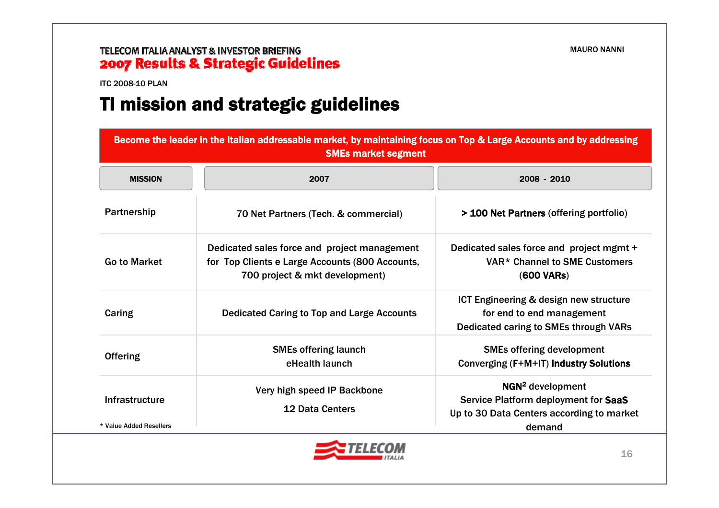ITC 2008-10 PLAN

# TI mission and strategic guidelines

| Become the leader in the Italian addressable market, by maintaining focus on Top & Large Accounts and by addressing<br><b>SMEs market segment</b> |                                                                                                                                   |                                                                                                                             |
|---------------------------------------------------------------------------------------------------------------------------------------------------|-----------------------------------------------------------------------------------------------------------------------------------|-----------------------------------------------------------------------------------------------------------------------------|
| <b>MISSION</b>                                                                                                                                    | 2007                                                                                                                              | 2008 - 2010                                                                                                                 |
| Partnership                                                                                                                                       | 70 Net Partners (Tech. & commercial)                                                                                              | > 100 Net Partners (offering portfolio)                                                                                     |
| <b>Go to Market</b>                                                                                                                               | Dedicated sales force and project management<br>for Top Clients e Large Accounts (800 Accounts,<br>700 project & mkt development) | Dedicated sales force and project mgmt +<br>VAR <sup>*</sup> Channel to SME Customers<br><b>(600 VARs)</b>                  |
| Caring                                                                                                                                            | <b>Dedicated Caring to Top and Large Accounts</b>                                                                                 | ICT Engineering & design new structure<br>for end to end management<br>Dedicated caring to SMEs through VARs                |
| <b>Offering</b>                                                                                                                                   | <b>SMEs offering launch</b><br>eHealth launch                                                                                     | <b>SMEs offering development</b><br>Converging (F+M+IT) Industry Solutions                                                  |
| Infrastructure<br>* Value Added Resellers                                                                                                         | Very high speed IP Backbone<br><b>12 Data Centers</b>                                                                             | NGN <sup>2</sup> development<br>Service Platform deployment for SaaS<br>Up to 30 Data Centers according to market<br>demand |

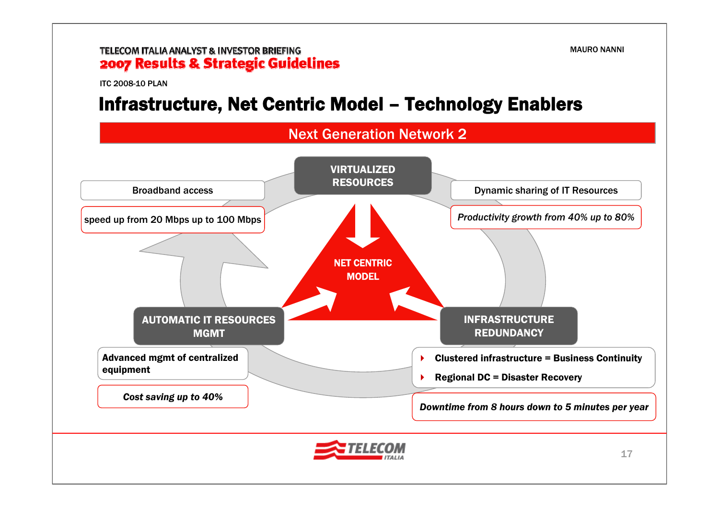ITC 2008-10 PLAN

### Infrastructure, Net Centric Model – Technology Enablers

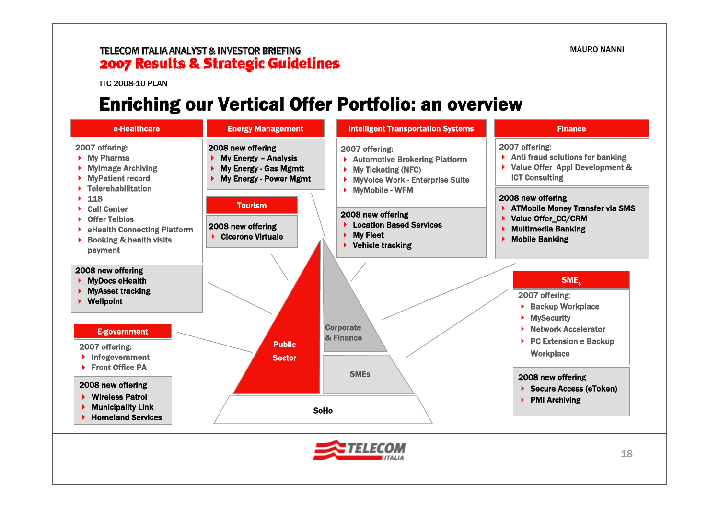ITC 2008-10 PLAN

### Enriching our Vertical Offer Portfolio: an overview

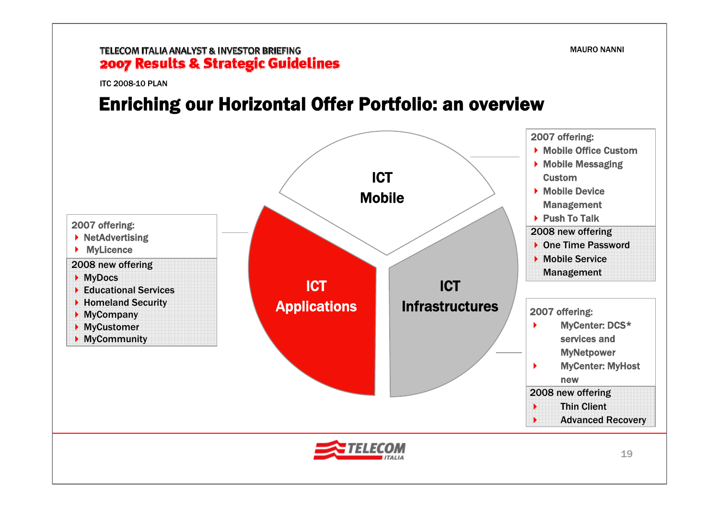ITC 2008-10 PLAN

### Enriching our Horizontal Offer Portfolio: an overview

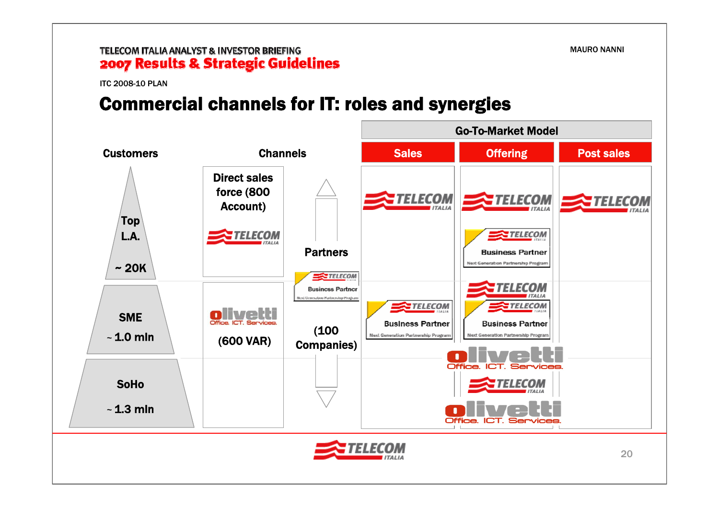### TELECOM ITALIA ANALYST & INVESTOR BRIEFING 2007 Results & Strategic Guidelines

ITC 2008-10 PLAN

### Commercial channels for IT: roles and synergies